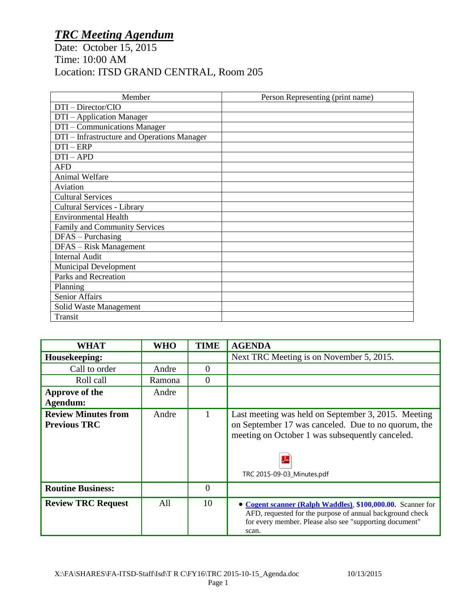## *TRC Meeting Agendum*

Date: October 15, 2015 Time: 10:00 AM Location: ITSD GRAND CENTRAL, Room 205

| Member                                      | Person Representing (print name) |
|---------------------------------------------|----------------------------------|
| DTI - Director/CIO                          |                                  |
| DTI - Application Manager                   |                                  |
| DTI - Communications Manager                |                                  |
| DTI – Infrastructure and Operations Manager |                                  |
| $DTI - ERP$                                 |                                  |
| $DTI-APD$                                   |                                  |
| <b>AFD</b>                                  |                                  |
| <b>Animal Welfare</b>                       |                                  |
| Aviation                                    |                                  |
| <b>Cultural Services</b>                    |                                  |
| Cultural Services - Library                 |                                  |
| <b>Environmental Health</b>                 |                                  |
| Family and Community Services               |                                  |
| $DFAS - Purchasing$                         |                                  |
| DFAS - Risk Management                      |                                  |
| <b>Internal Audit</b>                       |                                  |
| <b>Municipal Development</b>                |                                  |
| Parks and Recreation                        |                                  |
| Planning                                    |                                  |
| Senior Affairs                              |                                  |
| Solid Waste Management                      |                                  |
| Transit                                     |                                  |

| WHAT                                              | <b>WHO</b> | <b>TIME</b> | <b>AGENDA</b>                                                                                                                                                                                    |
|---------------------------------------------------|------------|-------------|--------------------------------------------------------------------------------------------------------------------------------------------------------------------------------------------------|
| Housekeeping:                                     |            |             | Next TRC Meeting is on November 5, 2015.                                                                                                                                                         |
| Call to order                                     | Andre      | 0           |                                                                                                                                                                                                  |
| Roll call                                         | Ramona     | $\Omega$    |                                                                                                                                                                                                  |
| Approve of the                                    | Andre      |             |                                                                                                                                                                                                  |
| Agendum:                                          |            |             |                                                                                                                                                                                                  |
| <b>Review Minutes from</b><br><b>Previous TRC</b> | Andre      |             | Last meeting was held on September 3, 2015. Meeting<br>on September 17 was canceled. Due to no quorum, the<br>meeting on October 1 was subsequently canceled.<br>⅄<br>TRC 2015-09-03_Minutes.pdf |
| <b>Routine Business:</b>                          |            | 0           |                                                                                                                                                                                                  |
| <b>Review TRC Request</b>                         | All        | 10          | • Cogent scanner (Ralph Waddles), \$100,000.00. Scanner for<br>AFD, requested for the purpose of annual background check<br>for every member. Please also see "supporting document"<br>scan.     |